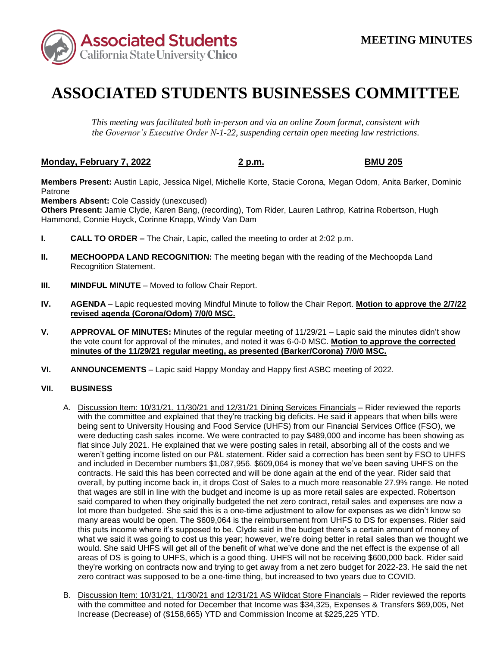

## **ASSOCIATED STUDENTS BUSINESSES COMMITTEE**

*This meeting was facilitated both in-person and via an online Zoom format, consistent with the Governor's Executive Order N-1-22, suspending certain open meeting law restrictions.* 

## **Monday, February 7, 2022 2 p.m. BMU 205**

**Members Present:** Austin Lapic, Jessica Nigel, Michelle Korte, Stacie Corona, Megan Odom, Anita Barker, Dominic Patrone

**Members Absent:** Cole Cassidy (unexcused)

**Others Present:** Jamie Clyde, Karen Bang, (recording), Tom Rider, Lauren Lathrop, Katrina Robertson, Hugh Hammond, Connie Huyck, Corinne Knapp, Windy Van Dam

- **I. CALL TO ORDER –** The Chair, Lapic, called the meeting to order at 2:02 p.m.
- **II. MECHOOPDA LAND RECOGNITION:** The meeting began with the reading of the Mechoopda Land Recognition Statement.
- **III. MINDFUL MINUTE** Moved to follow Chair Report.
- **IV. AGENDA**  Lapic requested moving Mindful Minute to follow the Chair Report. **Motion to approve the 2/7/22 revised agenda (Corona/Odom) 7/0/0 MSC.**
- **V. APPROVAL OF MINUTES:** Minutes of the regular meeting of 11/29/21 Lapic said the minutes didn't show the vote count for approval of the minutes, and noted it was 6-0-0 MSC. **Motion to approve the corrected minutes of the 11/29/21 regular meeting, as presented (Barker/Corona) 7/0/0 MSC.**
- **VI. ANNOUNCEMENTS**  Lapic said Happy Monday and Happy first ASBC meeting of 2022.

## **VII. BUSINESS**

- weren't getting income listed on our P&L statement. Rider said a correction has been sent by FSO to UHFS contracts. He said this has been corrected and will be done again at the end of the year. Rider said that that wages are still in line with the budget and income is up as more retail sales are expected. Robertson many areas would be open. The \$609,064 is the reimbursement from UHFS to DS for expenses. Rider said this puts income where it's supposed to be. Clyde said in the budget there's a certain amount of money of A. Discussion Item: 10/31/21, 11/30/21 and 12/31/21 Dining Services Financials – Rider reviewed the reports with the committee and explained that they're tracking big deficits. He said it appears that when bills were being sent to University Housing and Food Service (UHFS) from our Financial Services Office (FSO), we were deducting cash sales income. We were contracted to pay \$489,000 and income has been showing as flat since July 2021. He explained that we were posting sales in retail, absorbing all of the costs and we and included in December numbers \$1,087,956. \$609,064 is money that we've been saving UHFS on the overall, by putting income back in, it drops Cost of Sales to a much more reasonable 27.9% range. He noted said compared to when they originally budgeted the net zero contract, retail sales and expenses are now a lot more than budgeted. She said this is a one-time adjustment to allow for expenses as we didn't know so what we said it was going to cost us this year; however, we're doing better in retail sales than we thought we would. She said UHFS will get all of the benefit of what we've done and the net effect is the expense of all areas of DS is going to UHFS, which is a good thing. UHFS will not be receiving \$600,000 back. Rider said they're working on contracts now and trying to get away from a net zero budget for 2022-23. He said the net zero contract was supposed to be a one-time thing, but increased to two years due to COVID.
- B. Discussion Item: 10/31/21, 11/30/21 and 12/31/21 AS Wildcat Store Financials Rider reviewed the reports with the committee and noted for December that Income was \$34,325, Expenses & Transfers \$69,005, Net Increase (Decrease) of (\$158,665) YTD and Commission Income at \$225,225 YTD.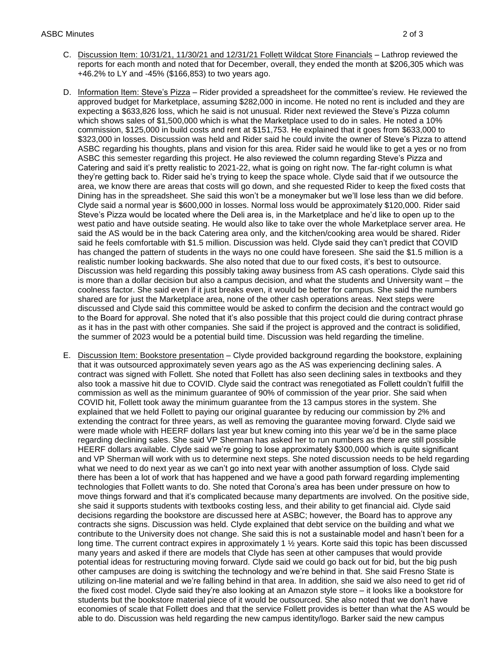- C. Discussion Item: 10/31/21, 11/30/21 and 12/31/21 Follett Wildcat Store Financials Lathrop reviewed the reports for each month and noted that for December, overall, they ended the month at \$206,305 which was +46.2% to LY and -45% (\$166,853) to two years ago.
- which shows sales of \$1,500,000 which is what the Marketplace used to do in sales. He noted a 10% ASBC this semester regarding this project. He also reviewed the column regarding Steve's Pizza and area, we know there are areas that costs will go down, and she requested Rider to keep the fixed costs that Dining has in the spreadsheet. She said this won't be a moneymaker but we'll lose less than we did before. has changed the pattern of students in the ways no one could have foreseen. She said the \$1.5 million is a Discussion was held regarding this possibly taking away business from AS cash operations. Clyde said this shared are for just the Marketplace area, none of the other cash operations areas. Next steps were D. Information Item: Steve's Pizza – Rider provided a spreadsheet for the committee's review. He reviewed the approved budget for Marketplace, assuming \$282,000 in income. He noted no rent is included and they are expecting a \$633,826 loss, which he said is not unusual. Rider next reviewed the Steve's Pizza column commission, \$125,000 in build costs and rent at \$151,753. He explained that it goes from \$633,000 to \$323,000 in losses. Discussion was held and Rider said he could invite the owner of Steve's Pizza to attend ASBC regarding his thoughts, plans and vision for this area. Rider said he would like to get a yes or no from Catering and said it's pretty realistic to 2021-22, what is going on right now. The far-right column is what they're getting back to. Rider said he's trying to keep the space whole. Clyde said that if we outsource the Clyde said a normal year is \$600,000 in losses. Normal loss would be approximately \$120,000. Rider said Steve's Pizza would be located where the Deli area is, in the Marketplace and he'd like to open up to the west patio and have outside seating. He would also like to take over the whole Marketplace server area. He said the AS would be in the back Catering area only, and the kitchen/cooking area would be shared. Rider said he feels comfortable with \$1.5 million. Discussion was held. Clyde said they can't predict that COVID realistic number looking backwards. She also noted that due to our fixed costs, it's best to outsource. is more than a dollar decision but also a campus decision, and what the students and University want – the coolness factor. She said even if it just breaks even, it would be better for campus. She said the numbers discussed and Clyde said this committee would be asked to confirm the decision and the contract would go to the Board for approval. She noted that it's also possible that this project could die during contract phrase as it has in the past with other companies. She said if the project is approved and the contract is solidified, the summer of 2023 would be a potential build time. Discussion was held regarding the timeline.
- explained that we held Follett to paying our original guarantee by reducing our commission by 2% and were made whole with HEERF dollars last year but knew coming into this year we'd be in the same place HEERF dollars available. Clyde said we're going to lose approximately \$300,000 which is quite significant there has been a lot of work that has happened and we have a good path forward regarding implementing contracts she signs. Discussion was held. Clyde explained that debt service on the building and what we many years and asked if there are models that Clyde has seen at other campuses that would provide students but the bookstore material piece of it would be outsourced. She also noted that we don't have economies of scale that Follett does and that the service Follett provides is better than what the AS would be able to do. Discussion was held regarding the new campus identity/logo. Barker said the new campus E. Discussion Item: Bookstore presentation – Clyde provided background regarding the bookstore, explaining that it was outsourced approximately seven years ago as the AS was experiencing declining sales. A contract was signed with Follett. She noted that Follett has also seen declining sales in textbooks and they also took a massive hit due to COVID. Clyde said the contract was renegotiated as Follett couldn't fulfill the commission as well as the minimum guarantee of 90% of commission of the year prior. She said when COVID hit, Follett took away the minimum guarantee from the 13 campus stores in the system. She extending the contract for three years, as well as removing the guarantee moving forward. Clyde said we regarding declining sales. She said VP Sherman has asked her to run numbers as there are still possible and VP Sherman will work with us to determine next steps. She noted discussion needs to be held regarding what we need to do next year as we can't go into next year with another assumption of loss. Clyde said technologies that Follett wants to do. She noted that Corona's area has been under pressure on how to move things forward and that it's complicated because many departments are involved. On the positive side, she said it supports students with textbooks costing less, and their ability to get financial aid. Clyde said decisions regarding the bookstore are discussed here at ASBC; however, the Board has to approve any contribute to the University does not change. She said this is not a sustainable model and hasn't been for a long time. The current contract expires in approximately 1 ½ years. Korte said this topic has been discussed potential ideas for restructuring moving forward. Clyde said we could go back out for bid, but the big push other campuses are doing is switching the technology and we're behind in that. She said Fresno State is utilizing on-line material and we're falling behind in that area. In addition, she said we also need to get rid of the fixed cost model. Clyde said they're also looking at an Amazon style store – it looks like a bookstore for